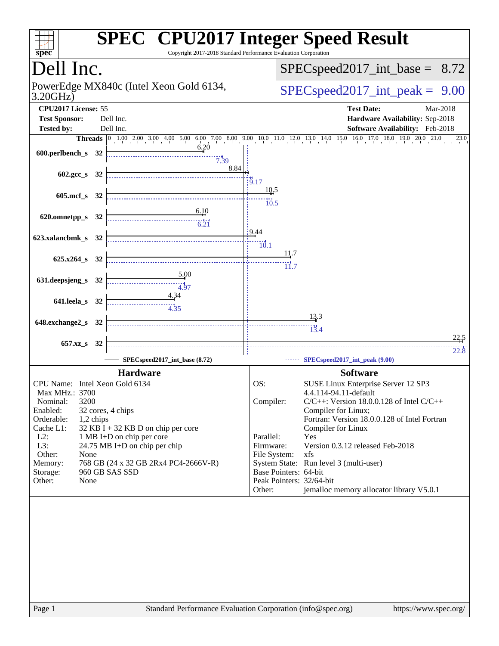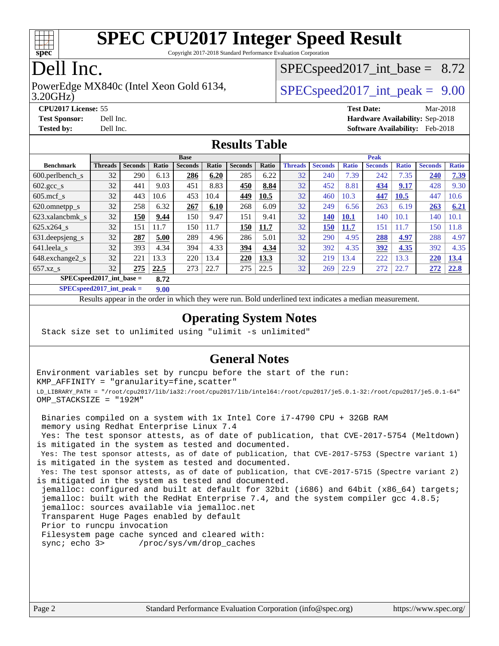

Copyright 2017-2018 Standard Performance Evaluation Corporation

### Dell Inc.

3.20GHz) PowerEdge MX840c (Intel Xeon Gold 6134,  $\vert$  [SPECspeed2017\\_int\\_peak =](http://www.spec.org/auto/cpu2017/Docs/result-fields.html#SPECspeed2017intpeak) 9.00

 $SPECspeed2017\_int\_base = 8.72$ 

**[CPU2017 License:](http://www.spec.org/auto/cpu2017/Docs/result-fields.html#CPU2017License)** 55 **[Test Date:](http://www.spec.org/auto/cpu2017/Docs/result-fields.html#TestDate)** Mar-2018 **[Test Sponsor:](http://www.spec.org/auto/cpu2017/Docs/result-fields.html#TestSponsor)** Dell Inc. **[Hardware Availability:](http://www.spec.org/auto/cpu2017/Docs/result-fields.html#HardwareAvailability)** Sep-2018 **[Tested by:](http://www.spec.org/auto/cpu2017/Docs/result-fields.html#Testedby)** Dell Inc. **[Software Availability:](http://www.spec.org/auto/cpu2017/Docs/result-fields.html#SoftwareAvailability)** Feb-2018

#### **[Results Table](http://www.spec.org/auto/cpu2017/Docs/result-fields.html#ResultsTable)**

|                                     | <b>Base</b>    |                |       |                | <b>Peak</b> |                |       |                |                |              |                |              |                |              |
|-------------------------------------|----------------|----------------|-------|----------------|-------------|----------------|-------|----------------|----------------|--------------|----------------|--------------|----------------|--------------|
| <b>Benchmark</b>                    | <b>Threads</b> | <b>Seconds</b> | Ratio | <b>Seconds</b> | Ratio       | <b>Seconds</b> | Ratio | <b>Threads</b> | <b>Seconds</b> | <b>Ratio</b> | <b>Seconds</b> | <b>Ratio</b> | <b>Seconds</b> | <b>Ratio</b> |
| $600.$ perlbench $\mathsf{S}$       | 32             | 290            | 6.13  | 286            | 6.20        | 285            | 6.22  | 32             | 240            | 7.39         | 242            | 7.35         | 240            | 7.39         |
| $602 \text{.} \text{gcc}\text{.}$ s | 32             | 441            | 9.03  | 451            | 8.83        | 450            | 8.84  | 32             | 452            | 8.81         | 434            | 9.17         | 428            | 9.30         |
| $605$ .mcf s                        | 32             | 443            | 10.6  | 453            | 10.4        | 449            | 10.5  | 32             | 460            | 10.3         | 447            | 10.5         | 447            | 10.6         |
| 620.omnetpp_s                       | 32             | 258            | 6.32  | 267            | 6.10        | 268            | 6.09  | 32             | 249            | 6.56         | 263            | 6.19         | 263            | 6.21         |
| 623.xalancbmk s                     | 32             | 150            | 9.44  | 150            | 9.47        | 151            | 9.41  | 32             | 140            | 10.1         | 140            | 10.1         | 140            | 10.1         |
| 625.x264 s                          | 32             | 151            | 11.7  | 150            | 11.7        | 150            | 11.7  | 32             | 150            | 11.7         | 151            | 11.7         | 150            | 11.8         |
| 631.deepsjeng_s                     | 32             | 287            | 5.00  | 289            | 4.96        | 286            | 5.01  | 32             | 290            | 4.95         | 288            | 4.97         | 288            | 4.97         |
| 641.leela s                         | 32             | 393            | 4.34  | 394            | 4.33        | 394            | 4.34  | 32             | 392            | 4.35         | 392            | 4.35         | 392            | 4.35         |
| 648.exchange2_s                     | 32             | 221            | 13.3  | 220            | 13.4        | 220            | 13.3  | 32             | 219            | 13.4         | 222            | 13.3         | <b>220</b>     | 13.4         |
| $657.xz$ s                          | 32             | 275            | 22.5  | 273            | 22.7        | 275            | 22.5  | 32             | 269            | 22.9         | 272            | 22.7         | 272            | 22.8         |
| $SPEC speed2017$ int base =<br>8.72 |                |                |       |                |             |                |       |                |                |              |                |              |                |              |

**[SPECspeed2017\\_int\\_peak =](http://www.spec.org/auto/cpu2017/Docs/result-fields.html#SPECspeed2017intpeak) 9.00**

Results appear in the [order in which they were run.](http://www.spec.org/auto/cpu2017/Docs/result-fields.html#RunOrder) Bold underlined text [indicates a median measurement](http://www.spec.org/auto/cpu2017/Docs/result-fields.html#Median).

#### **[Operating System Notes](http://www.spec.org/auto/cpu2017/Docs/result-fields.html#OperatingSystemNotes)**

Stack size set to unlimited using "ulimit -s unlimited"

#### **[General Notes](http://www.spec.org/auto/cpu2017/Docs/result-fields.html#GeneralNotes)**

Environment variables set by runcpu before the start of the run: KMP\_AFFINITY = "granularity=fine,scatter" LD\_LIBRARY\_PATH = "/root/cpu2017/lib/ia32:/root/cpu2017/lib/intel64:/root/cpu2017/je5.0.1-32:/root/cpu2017/je5.0.1-64" OMP\_STACKSIZE = "192M"

 Binaries compiled on a system with 1x Intel Core i7-4790 CPU + 32GB RAM memory using Redhat Enterprise Linux 7.4 Yes: The test sponsor attests, as of date of publication, that CVE-2017-5754 (Meltdown) is mitigated in the system as tested and documented. Yes: The test sponsor attests, as of date of publication, that CVE-2017-5753 (Spectre variant 1) is mitigated in the system as tested and documented. Yes: The test sponsor attests, as of date of publication, that CVE-2017-5715 (Spectre variant 2) is mitigated in the system as tested and documented. jemalloc: configured and built at default for 32bit (i686) and 64bit (x86\_64) targets; jemalloc: built with the RedHat Enterprise 7.4, and the system compiler gcc 4.8.5; jemalloc: sources available via jemalloc.net Transparent Huge Pages enabled by default Prior to runcpu invocation Filesystem page cache synced and cleared with: sync; echo 3> /proc/sys/vm/drop\_caches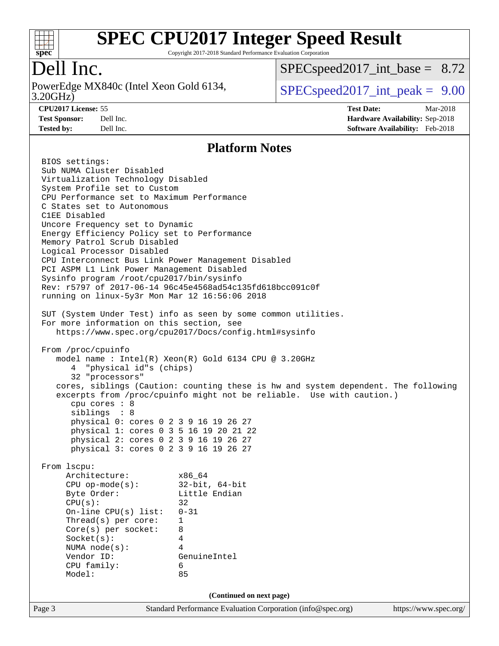

Copyright 2017-2018 Standard Performance Evaluation Corporation

### Dell Inc.

3.20GHz) PowerEdge MX840c (Intel Xeon Gold 6134,  $\vert$  [SPECspeed2017\\_int\\_peak =](http://www.spec.org/auto/cpu2017/Docs/result-fields.html#SPECspeed2017intpeak) 9.00

 $SPECspeed2017\_int\_base = 8.72$ 

**[Tested by:](http://www.spec.org/auto/cpu2017/Docs/result-fields.html#Testedby)** Dell Inc. **[Software Availability:](http://www.spec.org/auto/cpu2017/Docs/result-fields.html#SoftwareAvailability)** Feb-2018

**[CPU2017 License:](http://www.spec.org/auto/cpu2017/Docs/result-fields.html#CPU2017License)** 55 **[Test Date:](http://www.spec.org/auto/cpu2017/Docs/result-fields.html#TestDate)** Mar-2018 **[Test Sponsor:](http://www.spec.org/auto/cpu2017/Docs/result-fields.html#TestSponsor)** Dell Inc. **[Hardware Availability:](http://www.spec.org/auto/cpu2017/Docs/result-fields.html#HardwareAvailability)** Sep-2018

#### **[Platform Notes](http://www.spec.org/auto/cpu2017/Docs/result-fields.html#PlatformNotes)**

Page 3 Standard Performance Evaluation Corporation [\(info@spec.org\)](mailto:info@spec.org) <https://www.spec.org/> BIOS settings: Sub NUMA Cluster Disabled Virtualization Technology Disabled System Profile set to Custom CPU Performance set to Maximum Performance C States set to Autonomous C1EE Disabled Uncore Frequency set to Dynamic Energy Efficiency Policy set to Performance Memory Patrol Scrub Disabled Logical Processor Disabled CPU Interconnect Bus Link Power Management Disabled PCI ASPM L1 Link Power Management Disabled Sysinfo program /root/cpu2017/bin/sysinfo Rev: r5797 of 2017-06-14 96c45e4568ad54c135fd618bcc091c0f running on linux-5y3r Mon Mar 12 16:56:06 2018 SUT (System Under Test) info as seen by some common utilities. For more information on this section, see <https://www.spec.org/cpu2017/Docs/config.html#sysinfo> From /proc/cpuinfo model name : Intel(R) Xeon(R) Gold 6134 CPU @ 3.20GHz 4 "physical id"s (chips) 32 "processors" cores, siblings (Caution: counting these is hw and system dependent. The following excerpts from /proc/cpuinfo might not be reliable. Use with caution.) cpu cores : 8 siblings : 8 physical 0: cores 0 2 3 9 16 19 26 27 physical 1: cores 0 3 5 16 19 20 21 22 physical 2: cores 0 2 3 9 16 19 26 27 physical 3: cores 0 2 3 9 16 19 26 27 From lscpu: Architecture: x86\_64 CPU op-mode(s): 32-bit, 64-bit Byte Order: Little Endian  $CPU(s):$  32 On-line CPU(s) list: 0-31 Thread(s) per core: 1 Core(s) per socket: 8 Socket(s): 4 NUMA node(s): 4 Vendor ID: GenuineIntel CPU family: 6 Model: 85 **(Continued on next page)**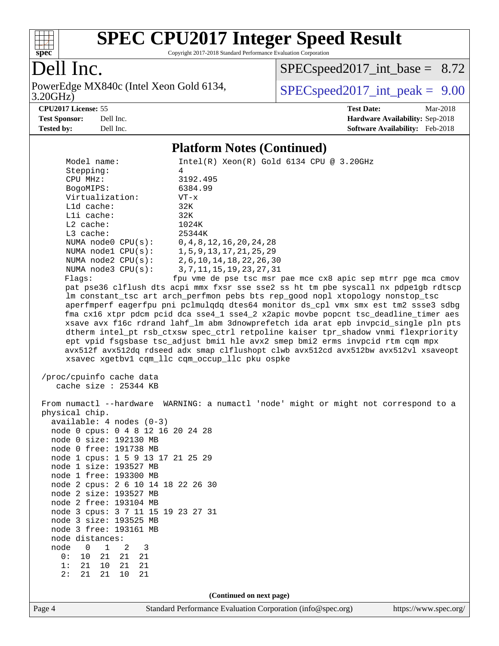

Copyright 2017-2018 Standard Performance Evaluation Corporation

### Dell Inc.

3.20GHz) PowerEdge MX840c (Intel Xeon Gold 6134,  $\big|$  [SPECspeed2017\\_int\\_peak =](http://www.spec.org/auto/cpu2017/Docs/result-fields.html#SPECspeed2017intpeak) 9.00

[SPECspeed2017\\_int\\_base =](http://www.spec.org/auto/cpu2017/Docs/result-fields.html#SPECspeed2017intbase) 8.72

**[Tested by:](http://www.spec.org/auto/cpu2017/Docs/result-fields.html#Testedby)** Dell Inc. **[Software Availability:](http://www.spec.org/auto/cpu2017/Docs/result-fields.html#SoftwareAvailability)** Feb-2018

**[CPU2017 License:](http://www.spec.org/auto/cpu2017/Docs/result-fields.html#CPU2017License)** 55 **[Test Date:](http://www.spec.org/auto/cpu2017/Docs/result-fields.html#TestDate)** Mar-2018 **[Test Sponsor:](http://www.spec.org/auto/cpu2017/Docs/result-fields.html#TestSponsor)** Dell Inc. **[Hardware Availability:](http://www.spec.org/auto/cpu2017/Docs/result-fields.html#HardwareAvailability)** Sep-2018

#### **[Platform Notes \(Continued\)](http://www.spec.org/auto/cpu2017/Docs/result-fields.html#PlatformNotes)**

| Model name:<br>Stepping:                                     | $Intel(R)$ Xeon $(R)$ Gold 6134 CPU @ 3.20GHz<br>4                                   |                      |
|--------------------------------------------------------------|--------------------------------------------------------------------------------------|----------------------|
| CPU MHz:                                                     | 3192.495                                                                             |                      |
| BogoMIPS:                                                    | 6384.99                                                                              |                      |
| Virtualization:                                              | $VT - x$                                                                             |                      |
| Lld cache:                                                   | 32K                                                                                  |                      |
| Lli cache:                                                   | 32K                                                                                  |                      |
| $L2$ cache:                                                  | 1024K                                                                                |                      |
| L3 cache:                                                    | 25344K                                                                               |                      |
| NUMA node0 CPU(s):                                           | 0, 4, 8, 12, 16, 20, 24, 28                                                          |                      |
| NUMA nodel CPU(s):                                           | 1, 5, 9, 13, 17, 21, 25, 29                                                          |                      |
| NUMA $node2$ $CPU(s)$ :                                      | 2, 6, 10, 14, 18, 22, 26, 30                                                         |                      |
| NUMA node3 CPU(s):                                           | 3, 7, 11, 15, 19, 23, 27, 31                                                         |                      |
| Flagg:                                                       | fpu vme de pse tsc msr pae mce cx8 apic sep mtrr pge mca cmov                        |                      |
|                                                              | pat pse36 clflush dts acpi mmx fxsr sse sse2 ss ht tm pbe syscall nx pdpelgb rdtscp  |                      |
|                                                              | lm constant_tsc art arch_perfmon pebs bts rep_good nopl xtopology nonstop_tsc        |                      |
|                                                              | aperfmperf eagerfpu pni pclmulqdq dtes64 monitor ds_cpl vmx smx est tm2 ssse3 sdbg   |                      |
|                                                              | fma cx16 xtpr pdcm pcid dca sse4_1 sse4_2 x2apic movbe popcnt tsc_deadline_timer aes |                      |
|                                                              | xsave avx f16c rdrand lahf_lm abm 3dnowprefetch ida arat epb invpcid_single pln pts  |                      |
|                                                              | dtherm intel_pt rsb_ctxsw spec_ctrl retpoline kaiser tpr_shadow vnmi flexpriority    |                      |
|                                                              | ept vpid fsgsbase tsc_adjust bmil hle avx2 smep bmi2 erms invpcid rtm cqm mpx        |                      |
|                                                              | avx512f avx512dq rdseed adx smap clflushopt clwb avx512cd avx512bw avx512vl xsaveopt |                      |
|                                                              | xsavec xgetbv1 cqm_llc cqm_occup_llc pku ospke                                       |                      |
| /proc/cpuinfo cache data                                     |                                                                                      |                      |
| cache size : 25344 KB                                        |                                                                                      |                      |
|                                                              |                                                                                      |                      |
|                                                              | From numactl --hardware WARNING: a numactl 'node' might or might not correspond to a |                      |
| physical chip.                                               |                                                                                      |                      |
| $available: 4 nodes (0-3)$                                   |                                                                                      |                      |
| node 0 cpus: 0 4 8 12 16 20 24 28                            |                                                                                      |                      |
| node 0 size: 192130 MB                                       |                                                                                      |                      |
| node 0 free: 191738 MB                                       |                                                                                      |                      |
| node 1 cpus: 1 5 9 13 17 21 25 29                            |                                                                                      |                      |
| node 1 size: 193527 MB                                       |                                                                                      |                      |
| node 1 free: 193300 MB                                       |                                                                                      |                      |
| node 2 cpus: 2 6 10 14 18 22 26 30<br>node 2 size: 193527 MB |                                                                                      |                      |
| node 2 free: 193104 MB                                       |                                                                                      |                      |
| node 3 cpus: 3 7 11 15 19 23 27 31                           |                                                                                      |                      |
| node 3 size: 193525 MB                                       |                                                                                      |                      |
| node 3 free: 193161 MB                                       |                                                                                      |                      |
| node distances:                                              |                                                                                      |                      |
| 0<br>1<br>2<br>node<br>3                                     |                                                                                      |                      |
| 21<br>21<br>0 :<br>10<br>21                                  |                                                                                      |                      |
| 10<br>1:<br>21<br>21<br>21                                   |                                                                                      |                      |
| 2:<br>21<br>10<br>21<br>21                                   |                                                                                      |                      |
|                                                              |                                                                                      |                      |
|                                                              | (Continued on next page)                                                             |                      |
| Page 4                                                       | Standard Performance Evaluation Corporation (info@spec.org)                          | https://www.spec.org |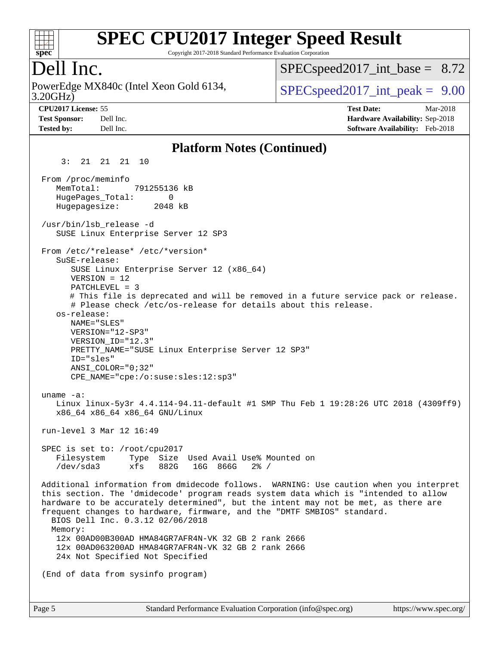

Copyright 2017-2018 Standard Performance Evaluation Corporation

### Dell Inc.

3.20GHz) PowerEdge MX840c (Intel Xeon Gold 6134,  $\vert$  [SPECspeed2017\\_int\\_peak =](http://www.spec.org/auto/cpu2017/Docs/result-fields.html#SPECspeed2017intpeak) 9.00

 $SPECspeed2017\_int\_base = 8.72$ 

**[CPU2017 License:](http://www.spec.org/auto/cpu2017/Docs/result-fields.html#CPU2017License)** 55 **[Test Date:](http://www.spec.org/auto/cpu2017/Docs/result-fields.html#TestDate)** Mar-2018 **[Test Sponsor:](http://www.spec.org/auto/cpu2017/Docs/result-fields.html#TestSponsor)** Dell Inc. **[Hardware Availability:](http://www.spec.org/auto/cpu2017/Docs/result-fields.html#HardwareAvailability)** Sep-2018 **[Tested by:](http://www.spec.org/auto/cpu2017/Docs/result-fields.html#Testedby)** Dell Inc. **[Software Availability:](http://www.spec.org/auto/cpu2017/Docs/result-fields.html#SoftwareAvailability)** Feb-2018

#### **[Platform Notes \(Continued\)](http://www.spec.org/auto/cpu2017/Docs/result-fields.html#PlatformNotes)**

 3: 21 21 21 10 From /proc/meminfo MemTotal: 791255136 kB HugePages\_Total: 0 Hugepagesize: 2048 kB /usr/bin/lsb\_release -d SUSE Linux Enterprise Server 12 SP3 From /etc/\*release\* /etc/\*version\* SuSE-release: SUSE Linux Enterprise Server 12 (x86\_64) VERSION = 12 PATCHLEVEL = 3 # This file is deprecated and will be removed in a future service pack or release. # Please check /etc/os-release for details about this release. os-release: NAME="SLES" VERSION="12-SP3" VERSION\_ID="12.3" PRETTY\_NAME="SUSE Linux Enterprise Server 12 SP3" ID="sles" ANSI\_COLOR="0;32" CPE\_NAME="cpe:/o:suse:sles:12:sp3" uname -a: Linux linux-5y3r 4.4.114-94.11-default #1 SMP Thu Feb 1 19:28:26 UTC 2018 (4309ff9) x86\_64 x86\_64 x86\_64 GNU/Linux run-level 3 Mar 12 16:49 SPEC is set to: /root/cpu2017 Filesystem Type Size Used Avail Use% Mounted on /dev/sda3 xfs 882G 16G 866G 2% / Additional information from dmidecode follows. WARNING: Use caution when you interpret this section. The 'dmidecode' program reads system data which is "intended to allow hardware to be accurately determined", but the intent may not be met, as there are frequent changes to hardware, firmware, and the "DMTF SMBIOS" standard. BIOS Dell Inc. 0.3.12 02/06/2018 Memory: 12x 00AD00B300AD HMA84GR7AFR4N-VK 32 GB 2 rank 2666 12x 00AD063200AD HMA84GR7AFR4N-VK 32 GB 2 rank 2666 24x Not Specified Not Specified (End of data from sysinfo program)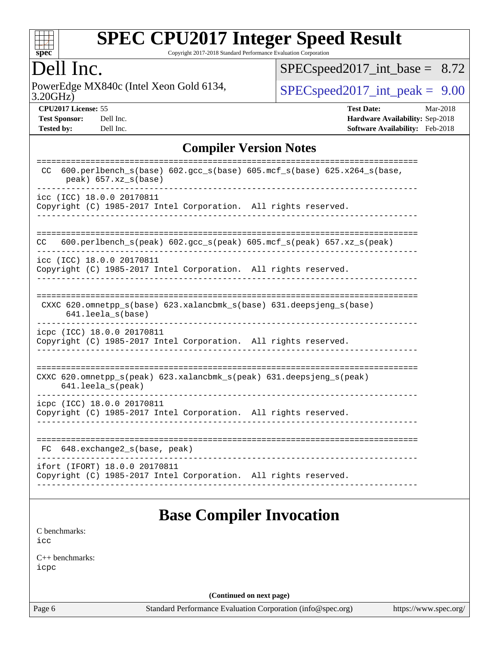

Copyright 2017-2018 Standard Performance Evaluation Corporation

#### Dell Inc.

3.20GHz) PowerEdge MX840c (Intel Xeon Gold 6134,  $SPEC speed2017\_int\_peak = 9.00$ 

[SPECspeed2017\\_int\\_base =](http://www.spec.org/auto/cpu2017/Docs/result-fields.html#SPECspeed2017intbase) 8.72

**[Tested by:](http://www.spec.org/auto/cpu2017/Docs/result-fields.html#Testedby)** Dell Inc. **[Software Availability:](http://www.spec.org/auto/cpu2017/Docs/result-fields.html#SoftwareAvailability)** Feb-2018

**[CPU2017 License:](http://www.spec.org/auto/cpu2017/Docs/result-fields.html#CPU2017License)** 55 **[Test Date:](http://www.spec.org/auto/cpu2017/Docs/result-fields.html#TestDate)** Mar-2018 **[Test Sponsor:](http://www.spec.org/auto/cpu2017/Docs/result-fields.html#TestSponsor)** Dell Inc. **[Hardware Availability:](http://www.spec.org/auto/cpu2017/Docs/result-fields.html#HardwareAvailability)** Sep-2018

#### **[Compiler Version Notes](http://www.spec.org/auto/cpu2017/Docs/result-fields.html#CompilerVersionNotes)**

| $600. perlbench_s(base) 602. gcc_s(base) 605. mcf_s(base) 625.x264_s(base,$<br><sub>CC</sub><br>$peak)$ 657.xz_s(base)     |
|----------------------------------------------------------------------------------------------------------------------------|
| icc (ICC) 18.0.0 20170811<br>Copyright (C) 1985-2017 Intel Corporation. All rights reserved.                               |
| 600.perlbench $s$ (peak) 602.gcc $s$ (peak) 605.mcf $s$ (peak) 657.xz $s$ (peak)<br>CC                                     |
| icc (ICC) 18.0.0 20170811<br>Copyright (C) 1985-2017 Intel Corporation. All rights reserved.                               |
| CXXC 620.omnetpp_s(base) 623.xalancbmk_s(base) 631.deepsjeng_s(base)<br>$641.$ leela $s$ (base)                            |
| icpc (ICC) 18.0.0 20170811<br>Copyright (C) 1985-2017 Intel Corporation. All rights reserved.                              |
| CXXC $620.\text{omnetpp_s}$ (peak) $623.\text{xalancbmk_s}$ (peak) $631.\text{deepsjeng_s}$ (peak)<br>$641.$ leela_s(peak) |
| icpc (ICC) 18.0.0 20170811<br>Copyright (C) 1985-2017 Intel Corporation. All rights reserved.                              |
| FC 648.exchange2_s(base, peak)                                                                                             |
| ifort (IFORT) 18.0.0 20170811<br>Copyright (C) 1985-2017 Intel Corporation. All rights reserved.                           |

#### **[Base Compiler Invocation](http://www.spec.org/auto/cpu2017/Docs/result-fields.html#BaseCompilerInvocation)**

[C benchmarks](http://www.spec.org/auto/cpu2017/Docs/result-fields.html#Cbenchmarks): [icc](http://www.spec.org/cpu2017/results/res2018q4/cpu2017-20181001-08997.flags.html#user_CCbase_intel_icc_18.0_66fc1ee009f7361af1fbd72ca7dcefbb700085f36577c54f309893dd4ec40d12360134090235512931783d35fd58c0460139e722d5067c5574d8eaf2b3e37e92)

[C++ benchmarks:](http://www.spec.org/auto/cpu2017/Docs/result-fields.html#CXXbenchmarks) [icpc](http://www.spec.org/cpu2017/results/res2018q4/cpu2017-20181001-08997.flags.html#user_CXXbase_intel_icpc_18.0_c510b6838c7f56d33e37e94d029a35b4a7bccf4766a728ee175e80a419847e808290a9b78be685c44ab727ea267ec2f070ec5dc83b407c0218cded6866a35d07)

**(Continued on next page)**

Page 6 Standard Performance Evaluation Corporation [\(info@spec.org\)](mailto:info@spec.org) <https://www.spec.org/>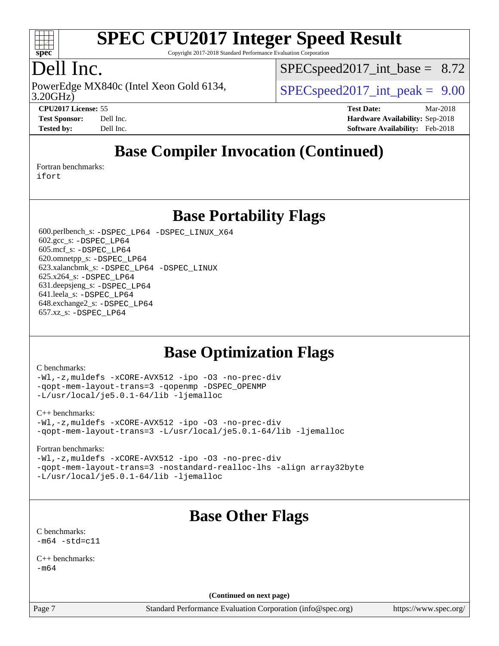

Copyright 2017-2018 Standard Performance Evaluation Corporation

### Dell Inc.

3.20GHz) PowerEdge MX840c (Intel Xeon Gold 6134,  $\vert$  [SPECspeed2017\\_int\\_peak =](http://www.spec.org/auto/cpu2017/Docs/result-fields.html#SPECspeed2017intpeak) 9.00

 $SPECspeed2017\_int\_base = 8.72$ 

**[CPU2017 License:](http://www.spec.org/auto/cpu2017/Docs/result-fields.html#CPU2017License)** 55 **[Test Date:](http://www.spec.org/auto/cpu2017/Docs/result-fields.html#TestDate)** Mar-2018 **[Test Sponsor:](http://www.spec.org/auto/cpu2017/Docs/result-fields.html#TestSponsor)** Dell Inc. **[Hardware Availability:](http://www.spec.org/auto/cpu2017/Docs/result-fields.html#HardwareAvailability)** Sep-2018 **[Tested by:](http://www.spec.org/auto/cpu2017/Docs/result-fields.html#Testedby)** Dell Inc. **[Software Availability:](http://www.spec.org/auto/cpu2017/Docs/result-fields.html#SoftwareAvailability)** Feb-2018

### **[Base Compiler Invocation \(Continued\)](http://www.spec.org/auto/cpu2017/Docs/result-fields.html#BaseCompilerInvocation)**

[Fortran benchmarks](http://www.spec.org/auto/cpu2017/Docs/result-fields.html#Fortranbenchmarks):

[ifort](http://www.spec.org/cpu2017/results/res2018q4/cpu2017-20181001-08997.flags.html#user_FCbase_intel_ifort_18.0_8111460550e3ca792625aed983ce982f94888b8b503583aa7ba2b8303487b4d8a21a13e7191a45c5fd58ff318f48f9492884d4413fa793fd88dd292cad7027ca)

#### **[Base Portability Flags](http://www.spec.org/auto/cpu2017/Docs/result-fields.html#BasePortabilityFlags)**

 600.perlbench\_s: [-DSPEC\\_LP64](http://www.spec.org/cpu2017/results/res2018q4/cpu2017-20181001-08997.flags.html#b600.perlbench_s_basePORTABILITY_DSPEC_LP64) [-DSPEC\\_LINUX\\_X64](http://www.spec.org/cpu2017/results/res2018q4/cpu2017-20181001-08997.flags.html#b600.perlbench_s_baseCPORTABILITY_DSPEC_LINUX_X64) 602.gcc\_s: [-DSPEC\\_LP64](http://www.spec.org/cpu2017/results/res2018q4/cpu2017-20181001-08997.flags.html#suite_basePORTABILITY602_gcc_s_DSPEC_LP64) 605.mcf\_s: [-DSPEC\\_LP64](http://www.spec.org/cpu2017/results/res2018q4/cpu2017-20181001-08997.flags.html#suite_basePORTABILITY605_mcf_s_DSPEC_LP64) 620.omnetpp\_s: [-DSPEC\\_LP64](http://www.spec.org/cpu2017/results/res2018q4/cpu2017-20181001-08997.flags.html#suite_basePORTABILITY620_omnetpp_s_DSPEC_LP64) 623.xalancbmk\_s: [-DSPEC\\_LP64](http://www.spec.org/cpu2017/results/res2018q4/cpu2017-20181001-08997.flags.html#suite_basePORTABILITY623_xalancbmk_s_DSPEC_LP64) [-DSPEC\\_LINUX](http://www.spec.org/cpu2017/results/res2018q4/cpu2017-20181001-08997.flags.html#b623.xalancbmk_s_baseCXXPORTABILITY_DSPEC_LINUX) 625.x264\_s: [-DSPEC\\_LP64](http://www.spec.org/cpu2017/results/res2018q4/cpu2017-20181001-08997.flags.html#suite_basePORTABILITY625_x264_s_DSPEC_LP64) 631.deepsjeng\_s: [-DSPEC\\_LP64](http://www.spec.org/cpu2017/results/res2018q4/cpu2017-20181001-08997.flags.html#suite_basePORTABILITY631_deepsjeng_s_DSPEC_LP64) 641.leela\_s: [-DSPEC\\_LP64](http://www.spec.org/cpu2017/results/res2018q4/cpu2017-20181001-08997.flags.html#suite_basePORTABILITY641_leela_s_DSPEC_LP64) 648.exchange2\_s: [-DSPEC\\_LP64](http://www.spec.org/cpu2017/results/res2018q4/cpu2017-20181001-08997.flags.html#suite_basePORTABILITY648_exchange2_s_DSPEC_LP64) 657.xz\_s: [-DSPEC\\_LP64](http://www.spec.org/cpu2017/results/res2018q4/cpu2017-20181001-08997.flags.html#suite_basePORTABILITY657_xz_s_DSPEC_LP64)

#### **[Base Optimization Flags](http://www.spec.org/auto/cpu2017/Docs/result-fields.html#BaseOptimizationFlags)**

#### [C benchmarks](http://www.spec.org/auto/cpu2017/Docs/result-fields.html#Cbenchmarks):

[-Wl,-z,muldefs](http://www.spec.org/cpu2017/results/res2018q4/cpu2017-20181001-08997.flags.html#user_CCbase_link_force_multiple1_b4cbdb97b34bdee9ceefcfe54f4c8ea74255f0b02a4b23e853cdb0e18eb4525ac79b5a88067c842dd0ee6996c24547a27a4b99331201badda8798ef8a743f577) [-xCORE-AVX512](http://www.spec.org/cpu2017/results/res2018q4/cpu2017-20181001-08997.flags.html#user_CCbase_f-xCORE-AVX512) [-ipo](http://www.spec.org/cpu2017/results/res2018q4/cpu2017-20181001-08997.flags.html#user_CCbase_f-ipo) [-O3](http://www.spec.org/cpu2017/results/res2018q4/cpu2017-20181001-08997.flags.html#user_CCbase_f-O3) [-no-prec-div](http://www.spec.org/cpu2017/results/res2018q4/cpu2017-20181001-08997.flags.html#user_CCbase_f-no-prec-div) [-qopt-mem-layout-trans=3](http://www.spec.org/cpu2017/results/res2018q4/cpu2017-20181001-08997.flags.html#user_CCbase_f-qopt-mem-layout-trans_de80db37974c74b1f0e20d883f0b675c88c3b01e9d123adea9b28688d64333345fb62bc4a798493513fdb68f60282f9a726aa07f478b2f7113531aecce732043) [-qopenmp](http://www.spec.org/cpu2017/results/res2018q4/cpu2017-20181001-08997.flags.html#user_CCbase_qopenmp_16be0c44f24f464004c6784a7acb94aca937f053568ce72f94b139a11c7c168634a55f6653758ddd83bcf7b8463e8028bb0b48b77bcddc6b78d5d95bb1df2967) [-DSPEC\\_OPENMP](http://www.spec.org/cpu2017/results/res2018q4/cpu2017-20181001-08997.flags.html#suite_CCbase_DSPEC_OPENMP) [-L/usr/local/je5.0.1-64/lib](http://www.spec.org/cpu2017/results/res2018q4/cpu2017-20181001-08997.flags.html#user_CCbase_jemalloc_link_path64_4b10a636b7bce113509b17f3bd0d6226c5fb2346b9178c2d0232c14f04ab830f976640479e5c33dc2bcbbdad86ecfb6634cbbd4418746f06f368b512fced5394) [-ljemalloc](http://www.spec.org/cpu2017/results/res2018q4/cpu2017-20181001-08997.flags.html#user_CCbase_jemalloc_link_lib_d1249b907c500fa1c0672f44f562e3d0f79738ae9e3c4a9c376d49f265a04b9c99b167ecedbf6711b3085be911c67ff61f150a17b3472be731631ba4d0471706)

#### [C++ benchmarks:](http://www.spec.org/auto/cpu2017/Docs/result-fields.html#CXXbenchmarks)

[-Wl,-z,muldefs](http://www.spec.org/cpu2017/results/res2018q4/cpu2017-20181001-08997.flags.html#user_CXXbase_link_force_multiple1_b4cbdb97b34bdee9ceefcfe54f4c8ea74255f0b02a4b23e853cdb0e18eb4525ac79b5a88067c842dd0ee6996c24547a27a4b99331201badda8798ef8a743f577) [-xCORE-AVX512](http://www.spec.org/cpu2017/results/res2018q4/cpu2017-20181001-08997.flags.html#user_CXXbase_f-xCORE-AVX512) [-ipo](http://www.spec.org/cpu2017/results/res2018q4/cpu2017-20181001-08997.flags.html#user_CXXbase_f-ipo) [-O3](http://www.spec.org/cpu2017/results/res2018q4/cpu2017-20181001-08997.flags.html#user_CXXbase_f-O3) [-no-prec-div](http://www.spec.org/cpu2017/results/res2018q4/cpu2017-20181001-08997.flags.html#user_CXXbase_f-no-prec-div) [-qopt-mem-layout-trans=3](http://www.spec.org/cpu2017/results/res2018q4/cpu2017-20181001-08997.flags.html#user_CXXbase_f-qopt-mem-layout-trans_de80db37974c74b1f0e20d883f0b675c88c3b01e9d123adea9b28688d64333345fb62bc4a798493513fdb68f60282f9a726aa07f478b2f7113531aecce732043) [-L/usr/local/je5.0.1-64/lib](http://www.spec.org/cpu2017/results/res2018q4/cpu2017-20181001-08997.flags.html#user_CXXbase_jemalloc_link_path64_4b10a636b7bce113509b17f3bd0d6226c5fb2346b9178c2d0232c14f04ab830f976640479e5c33dc2bcbbdad86ecfb6634cbbd4418746f06f368b512fced5394) [-ljemalloc](http://www.spec.org/cpu2017/results/res2018q4/cpu2017-20181001-08997.flags.html#user_CXXbase_jemalloc_link_lib_d1249b907c500fa1c0672f44f562e3d0f79738ae9e3c4a9c376d49f265a04b9c99b167ecedbf6711b3085be911c67ff61f150a17b3472be731631ba4d0471706)

#### [Fortran benchmarks](http://www.spec.org/auto/cpu2017/Docs/result-fields.html#Fortranbenchmarks):

[-Wl,-z,muldefs](http://www.spec.org/cpu2017/results/res2018q4/cpu2017-20181001-08997.flags.html#user_FCbase_link_force_multiple1_b4cbdb97b34bdee9ceefcfe54f4c8ea74255f0b02a4b23e853cdb0e18eb4525ac79b5a88067c842dd0ee6996c24547a27a4b99331201badda8798ef8a743f577) [-xCORE-AVX512](http://www.spec.org/cpu2017/results/res2018q4/cpu2017-20181001-08997.flags.html#user_FCbase_f-xCORE-AVX512) [-ipo](http://www.spec.org/cpu2017/results/res2018q4/cpu2017-20181001-08997.flags.html#user_FCbase_f-ipo) [-O3](http://www.spec.org/cpu2017/results/res2018q4/cpu2017-20181001-08997.flags.html#user_FCbase_f-O3) [-no-prec-div](http://www.spec.org/cpu2017/results/res2018q4/cpu2017-20181001-08997.flags.html#user_FCbase_f-no-prec-div) [-qopt-mem-layout-trans=3](http://www.spec.org/cpu2017/results/res2018q4/cpu2017-20181001-08997.flags.html#user_FCbase_f-qopt-mem-layout-trans_de80db37974c74b1f0e20d883f0b675c88c3b01e9d123adea9b28688d64333345fb62bc4a798493513fdb68f60282f9a726aa07f478b2f7113531aecce732043) [-nostandard-realloc-lhs](http://www.spec.org/cpu2017/results/res2018q4/cpu2017-20181001-08997.flags.html#user_FCbase_f_2003_std_realloc_82b4557e90729c0f113870c07e44d33d6f5a304b4f63d4c15d2d0f1fab99f5daaed73bdb9275d9ae411527f28b936061aa8b9c8f2d63842963b95c9dd6426b8a) [-align array32byte](http://www.spec.org/cpu2017/results/res2018q4/cpu2017-20181001-08997.flags.html#user_FCbase_align_array32byte_b982fe038af199962ba9a80c053b8342c548c85b40b8e86eb3cc33dee0d7986a4af373ac2d51c3f7cf710a18d62fdce2948f201cd044323541f22fc0fffc51b6) [-L/usr/local/je5.0.1-64/lib](http://www.spec.org/cpu2017/results/res2018q4/cpu2017-20181001-08997.flags.html#user_FCbase_jemalloc_link_path64_4b10a636b7bce113509b17f3bd0d6226c5fb2346b9178c2d0232c14f04ab830f976640479e5c33dc2bcbbdad86ecfb6634cbbd4418746f06f368b512fced5394) [-ljemalloc](http://www.spec.org/cpu2017/results/res2018q4/cpu2017-20181001-08997.flags.html#user_FCbase_jemalloc_link_lib_d1249b907c500fa1c0672f44f562e3d0f79738ae9e3c4a9c376d49f265a04b9c99b167ecedbf6711b3085be911c67ff61f150a17b3472be731631ba4d0471706)

## **[Base Other Flags](http://www.spec.org/auto/cpu2017/Docs/result-fields.html#BaseOtherFlags)**

| C benchmarks: |                    |  |  |  |  |  |
|---------------|--------------------|--|--|--|--|--|
|               | $-m64 - std = c11$ |  |  |  |  |  |

[C++ benchmarks:](http://www.spec.org/auto/cpu2017/Docs/result-fields.html#CXXbenchmarks) [-m64](http://www.spec.org/cpu2017/results/res2018q4/cpu2017-20181001-08997.flags.html#user_CXXbase_intel_intel64_18.0_af43caccfc8ded86e7699f2159af6efc7655f51387b94da716254467f3c01020a5059329e2569e4053f409e7c9202a7efc638f7a6d1ffb3f52dea4a3e31d82ab)

**(Continued on next page)**

Page 7 Standard Performance Evaluation Corporation [\(info@spec.org\)](mailto:info@spec.org) <https://www.spec.org/>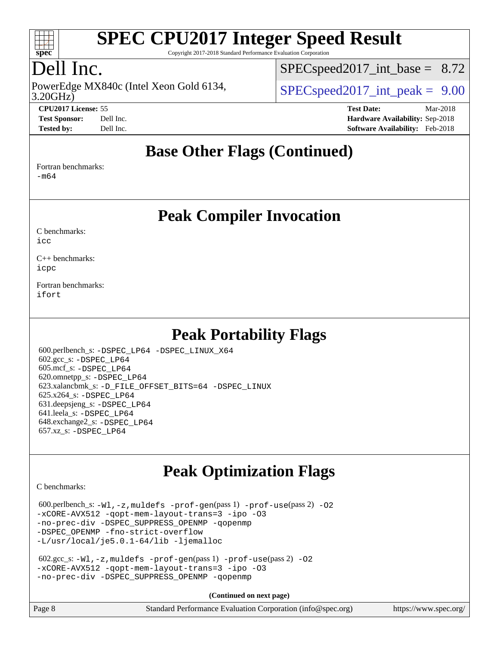

Copyright 2017-2018 Standard Performance Evaluation Corporation

## Dell Inc.

3.20GHz) PowerEdge MX840c (Intel Xeon Gold 6134,  $\vert$  [SPECspeed2017\\_int\\_peak =](http://www.spec.org/auto/cpu2017/Docs/result-fields.html#SPECspeed2017intpeak) 9.00

 $SPECspeed2017\_int\_base = 8.72$ 

**[CPU2017 License:](http://www.spec.org/auto/cpu2017/Docs/result-fields.html#CPU2017License)** 55 **[Test Date:](http://www.spec.org/auto/cpu2017/Docs/result-fields.html#TestDate)** Mar-2018 **[Test Sponsor:](http://www.spec.org/auto/cpu2017/Docs/result-fields.html#TestSponsor)** Dell Inc. **[Hardware Availability:](http://www.spec.org/auto/cpu2017/Docs/result-fields.html#HardwareAvailability)** Sep-2018 **[Tested by:](http://www.spec.org/auto/cpu2017/Docs/result-fields.html#Testedby)** Dell Inc. **[Software Availability:](http://www.spec.org/auto/cpu2017/Docs/result-fields.html#SoftwareAvailability)** Feb-2018

#### **[Base Other Flags \(Continued\)](http://www.spec.org/auto/cpu2017/Docs/result-fields.html#BaseOtherFlags)**

[Fortran benchmarks](http://www.spec.org/auto/cpu2017/Docs/result-fields.html#Fortranbenchmarks):

[-m64](http://www.spec.org/cpu2017/results/res2018q4/cpu2017-20181001-08997.flags.html#user_FCbase_intel_intel64_18.0_af43caccfc8ded86e7699f2159af6efc7655f51387b94da716254467f3c01020a5059329e2569e4053f409e7c9202a7efc638f7a6d1ffb3f52dea4a3e31d82ab)

**[Peak Compiler Invocation](http://www.spec.org/auto/cpu2017/Docs/result-fields.html#PeakCompilerInvocation)**

[C benchmarks](http://www.spec.org/auto/cpu2017/Docs/result-fields.html#Cbenchmarks):  $i$ cc

[C++ benchmarks:](http://www.spec.org/auto/cpu2017/Docs/result-fields.html#CXXbenchmarks) [icpc](http://www.spec.org/cpu2017/results/res2018q4/cpu2017-20181001-08997.flags.html#user_CXXpeak_intel_icpc_18.0_c510b6838c7f56d33e37e94d029a35b4a7bccf4766a728ee175e80a419847e808290a9b78be685c44ab727ea267ec2f070ec5dc83b407c0218cded6866a35d07)

[Fortran benchmarks](http://www.spec.org/auto/cpu2017/Docs/result-fields.html#Fortranbenchmarks): [ifort](http://www.spec.org/cpu2017/results/res2018q4/cpu2017-20181001-08997.flags.html#user_FCpeak_intel_ifort_18.0_8111460550e3ca792625aed983ce982f94888b8b503583aa7ba2b8303487b4d8a21a13e7191a45c5fd58ff318f48f9492884d4413fa793fd88dd292cad7027ca)

### **[Peak Portability Flags](http://www.spec.org/auto/cpu2017/Docs/result-fields.html#PeakPortabilityFlags)**

 600.perlbench\_s: [-DSPEC\\_LP64](http://www.spec.org/cpu2017/results/res2018q4/cpu2017-20181001-08997.flags.html#b600.perlbench_s_peakPORTABILITY_DSPEC_LP64) [-DSPEC\\_LINUX\\_X64](http://www.spec.org/cpu2017/results/res2018q4/cpu2017-20181001-08997.flags.html#b600.perlbench_s_peakCPORTABILITY_DSPEC_LINUX_X64) 602.gcc\_s: [-DSPEC\\_LP64](http://www.spec.org/cpu2017/results/res2018q4/cpu2017-20181001-08997.flags.html#suite_peakPORTABILITY602_gcc_s_DSPEC_LP64) 605.mcf\_s: [-DSPEC\\_LP64](http://www.spec.org/cpu2017/results/res2018q4/cpu2017-20181001-08997.flags.html#suite_peakPORTABILITY605_mcf_s_DSPEC_LP64) 620.omnetpp\_s: [-DSPEC\\_LP64](http://www.spec.org/cpu2017/results/res2018q4/cpu2017-20181001-08997.flags.html#suite_peakPORTABILITY620_omnetpp_s_DSPEC_LP64) 623.xalancbmk\_s: [-D\\_FILE\\_OFFSET\\_BITS=64](http://www.spec.org/cpu2017/results/res2018q4/cpu2017-20181001-08997.flags.html#user_peakPORTABILITY623_xalancbmk_s_file_offset_bits_64_5ae949a99b284ddf4e95728d47cb0843d81b2eb0e18bdfe74bbf0f61d0b064f4bda2f10ea5eb90e1dcab0e84dbc592acfc5018bc955c18609f94ddb8d550002c) [-DSPEC\\_LINUX](http://www.spec.org/cpu2017/results/res2018q4/cpu2017-20181001-08997.flags.html#b623.xalancbmk_s_peakCXXPORTABILITY_DSPEC_LINUX) 625.x264\_s: [-DSPEC\\_LP64](http://www.spec.org/cpu2017/results/res2018q4/cpu2017-20181001-08997.flags.html#suite_peakPORTABILITY625_x264_s_DSPEC_LP64) 631.deepsjeng\_s: [-DSPEC\\_LP64](http://www.spec.org/cpu2017/results/res2018q4/cpu2017-20181001-08997.flags.html#suite_peakPORTABILITY631_deepsjeng_s_DSPEC_LP64) 641.leela\_s: [-DSPEC\\_LP64](http://www.spec.org/cpu2017/results/res2018q4/cpu2017-20181001-08997.flags.html#suite_peakPORTABILITY641_leela_s_DSPEC_LP64) 648.exchange2\_s: [-DSPEC\\_LP64](http://www.spec.org/cpu2017/results/res2018q4/cpu2017-20181001-08997.flags.html#suite_peakPORTABILITY648_exchange2_s_DSPEC_LP64) 657.xz\_s: [-DSPEC\\_LP64](http://www.spec.org/cpu2017/results/res2018q4/cpu2017-20181001-08997.flags.html#suite_peakPORTABILITY657_xz_s_DSPEC_LP64)

## **[Peak Optimization Flags](http://www.spec.org/auto/cpu2017/Docs/result-fields.html#PeakOptimizationFlags)**

[C benchmarks](http://www.spec.org/auto/cpu2017/Docs/result-fields.html#Cbenchmarks):

 $600.$ perlbench\_s:  $-W1$ ,  $-z$ , muldefs  $-prof-gen(pass 1)$  $-prof-gen(pass 1)$  [-prof-use](http://www.spec.org/cpu2017/results/res2018q4/cpu2017-20181001-08997.flags.html#user_peakPASS2_CFLAGSPASS2_LDFLAGS600_perlbench_s_prof_use_1a21ceae95f36a2b53c25747139a6c16ca95bd9def2a207b4f0849963b97e94f5260e30a0c64f4bb623698870e679ca08317ef8150905d41bd88c6f78df73f19)(pass 2) -02 [-xCORE-AVX512](http://www.spec.org/cpu2017/results/res2018q4/cpu2017-20181001-08997.flags.html#user_peakPASS2_COPTIMIZE600_perlbench_s_f-xCORE-AVX512) [-qopt-mem-layout-trans=3](http://www.spec.org/cpu2017/results/res2018q4/cpu2017-20181001-08997.flags.html#user_peakPASS1_COPTIMIZEPASS2_COPTIMIZE600_perlbench_s_f-qopt-mem-layout-trans_de80db37974c74b1f0e20d883f0b675c88c3b01e9d123adea9b28688d64333345fb62bc4a798493513fdb68f60282f9a726aa07f478b2f7113531aecce732043) [-ipo](http://www.spec.org/cpu2017/results/res2018q4/cpu2017-20181001-08997.flags.html#user_peakPASS2_COPTIMIZE600_perlbench_s_f-ipo) [-O3](http://www.spec.org/cpu2017/results/res2018q4/cpu2017-20181001-08997.flags.html#user_peakPASS2_COPTIMIZE600_perlbench_s_f-O3) [-no-prec-div](http://www.spec.org/cpu2017/results/res2018q4/cpu2017-20181001-08997.flags.html#user_peakPASS2_COPTIMIZE600_perlbench_s_f-no-prec-div) [-DSPEC\\_SUPPRESS\\_OPENMP](http://www.spec.org/cpu2017/results/res2018q4/cpu2017-20181001-08997.flags.html#suite_peakPASS1_COPTIMIZE600_perlbench_s_DSPEC_SUPPRESS_OPENMP) [-qopenmp](http://www.spec.org/cpu2017/results/res2018q4/cpu2017-20181001-08997.flags.html#user_peakPASS2_COPTIMIZE600_perlbench_s_qopenmp_16be0c44f24f464004c6784a7acb94aca937f053568ce72f94b139a11c7c168634a55f6653758ddd83bcf7b8463e8028bb0b48b77bcddc6b78d5d95bb1df2967) -DSPEC OPENMP [-fno-strict-overflow](http://www.spec.org/cpu2017/results/res2018q4/cpu2017-20181001-08997.flags.html#user_peakEXTRA_OPTIMIZE600_perlbench_s_f-fno-strict-overflow) [-L/usr/local/je5.0.1-64/lib](http://www.spec.org/cpu2017/results/res2018q4/cpu2017-20181001-08997.flags.html#user_peakEXTRA_LIBS600_perlbench_s_jemalloc_link_path64_4b10a636b7bce113509b17f3bd0d6226c5fb2346b9178c2d0232c14f04ab830f976640479e5c33dc2bcbbdad86ecfb6634cbbd4418746f06f368b512fced5394) [-ljemalloc](http://www.spec.org/cpu2017/results/res2018q4/cpu2017-20181001-08997.flags.html#user_peakEXTRA_LIBS600_perlbench_s_jemalloc_link_lib_d1249b907c500fa1c0672f44f562e3d0f79738ae9e3c4a9c376d49f265a04b9c99b167ecedbf6711b3085be911c67ff61f150a17b3472be731631ba4d0471706)

```
 602.gcc_s: -Wl,-z,muldefs -prof-gen(pass 1) -prof-use(pass 2) -O2
-xCORE-AVX512 -qopt-mem-layout-trans=3 -ipo -O3
-no-prec-div -DSPEC_SUPPRESS_OPENMP -qopenmp
```
**(Continued on next page)**

| Page 8 | Standard Performance Evaluation Corporation (info@spec.org) | https://www.spec.org/ |
|--------|-------------------------------------------------------------|-----------------------|
|        |                                                             |                       |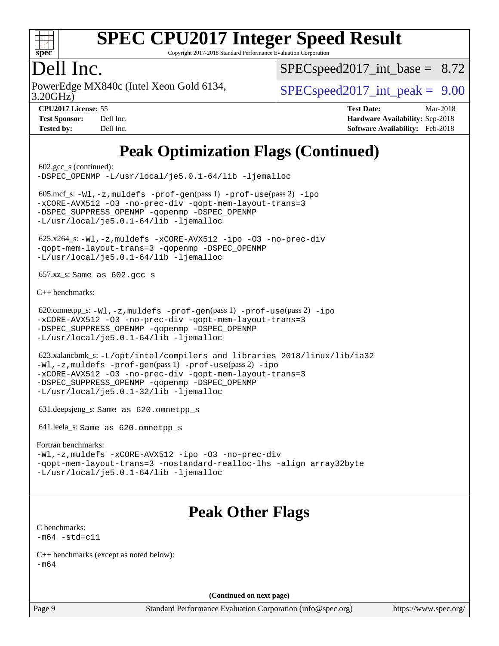

Copyright 2017-2018 Standard Performance Evaluation Corporation

### Dell Inc.

3.20GHz) PowerEdge MX840c (Intel Xeon Gold 6134,  $\vert$  [SPECspeed2017\\_int\\_peak =](http://www.spec.org/auto/cpu2017/Docs/result-fields.html#SPECspeed2017intpeak) 9.00

 $SPECspeed2017\_int\_base = 8.72$ 

**[Tested by:](http://www.spec.org/auto/cpu2017/Docs/result-fields.html#Testedby)** Dell Inc. **[Software Availability:](http://www.spec.org/auto/cpu2017/Docs/result-fields.html#SoftwareAvailability)** Feb-2018

**[CPU2017 License:](http://www.spec.org/auto/cpu2017/Docs/result-fields.html#CPU2017License)** 55 **[Test Date:](http://www.spec.org/auto/cpu2017/Docs/result-fields.html#TestDate)** Mar-2018 **[Test Sponsor:](http://www.spec.org/auto/cpu2017/Docs/result-fields.html#TestSponsor)** Dell Inc. **[Hardware Availability:](http://www.spec.org/auto/cpu2017/Docs/result-fields.html#HardwareAvailability)** Sep-2018

### **[Peak Optimization Flags \(Continued\)](http://www.spec.org/auto/cpu2017/Docs/result-fields.html#PeakOptimizationFlags)**

 602.gcc\_s (continued): [-DSPEC\\_OPENMP](http://www.spec.org/cpu2017/results/res2018q4/cpu2017-20181001-08997.flags.html#suite_peakPASS2_COPTIMIZE602_gcc_s_DSPEC_OPENMP) [-L/usr/local/je5.0.1-64/lib](http://www.spec.org/cpu2017/results/res2018q4/cpu2017-20181001-08997.flags.html#user_peakEXTRA_LIBS602_gcc_s_jemalloc_link_path64_4b10a636b7bce113509b17f3bd0d6226c5fb2346b9178c2d0232c14f04ab830f976640479e5c33dc2bcbbdad86ecfb6634cbbd4418746f06f368b512fced5394) [-ljemalloc](http://www.spec.org/cpu2017/results/res2018q4/cpu2017-20181001-08997.flags.html#user_peakEXTRA_LIBS602_gcc_s_jemalloc_link_lib_d1249b907c500fa1c0672f44f562e3d0f79738ae9e3c4a9c376d49f265a04b9c99b167ecedbf6711b3085be911c67ff61f150a17b3472be731631ba4d0471706) 605.mcf\_s: [-Wl,-z,muldefs](http://www.spec.org/cpu2017/results/res2018q4/cpu2017-20181001-08997.flags.html#user_peakEXTRA_LDFLAGS605_mcf_s_link_force_multiple1_b4cbdb97b34bdee9ceefcfe54f4c8ea74255f0b02a4b23e853cdb0e18eb4525ac79b5a88067c842dd0ee6996c24547a27a4b99331201badda8798ef8a743f577) [-prof-gen](http://www.spec.org/cpu2017/results/res2018q4/cpu2017-20181001-08997.flags.html#user_peakPASS1_CFLAGSPASS1_LDFLAGS605_mcf_s_prof_gen_5aa4926d6013ddb2a31985c654b3eb18169fc0c6952a63635c234f711e6e63dd76e94ad52365559451ec499a2cdb89e4dc58ba4c67ef54ca681ffbe1461d6b36)(pass 1) [-prof-use](http://www.spec.org/cpu2017/results/res2018q4/cpu2017-20181001-08997.flags.html#user_peakPASS2_CFLAGSPASS2_LDFLAGS605_mcf_s_prof_use_1a21ceae95f36a2b53c25747139a6c16ca95bd9def2a207b4f0849963b97e94f5260e30a0c64f4bb623698870e679ca08317ef8150905d41bd88c6f78df73f19)(pass 2) [-ipo](http://www.spec.org/cpu2017/results/res2018q4/cpu2017-20181001-08997.flags.html#user_peakPASS1_COPTIMIZEPASS2_COPTIMIZE605_mcf_s_f-ipo) [-xCORE-AVX512](http://www.spec.org/cpu2017/results/res2018q4/cpu2017-20181001-08997.flags.html#user_peakPASS2_COPTIMIZE605_mcf_s_f-xCORE-AVX512) [-O3](http://www.spec.org/cpu2017/results/res2018q4/cpu2017-20181001-08997.flags.html#user_peakPASS1_COPTIMIZEPASS2_COPTIMIZE605_mcf_s_f-O3) [-no-prec-div](http://www.spec.org/cpu2017/results/res2018q4/cpu2017-20181001-08997.flags.html#user_peakPASS1_COPTIMIZEPASS2_COPTIMIZE605_mcf_s_f-no-prec-div) [-qopt-mem-layout-trans=3](http://www.spec.org/cpu2017/results/res2018q4/cpu2017-20181001-08997.flags.html#user_peakPASS1_COPTIMIZEPASS2_COPTIMIZE605_mcf_s_f-qopt-mem-layout-trans_de80db37974c74b1f0e20d883f0b675c88c3b01e9d123adea9b28688d64333345fb62bc4a798493513fdb68f60282f9a726aa07f478b2f7113531aecce732043) -DSPEC SUPPRESS OPENMP [-qopenmp](http://www.spec.org/cpu2017/results/res2018q4/cpu2017-20181001-08997.flags.html#user_peakPASS2_COPTIMIZE605_mcf_s_qopenmp_16be0c44f24f464004c6784a7acb94aca937f053568ce72f94b139a11c7c168634a55f6653758ddd83bcf7b8463e8028bb0b48b77bcddc6b78d5d95bb1df2967) -DSPEC OPENMP [-L/usr/local/je5.0.1-64/lib](http://www.spec.org/cpu2017/results/res2018q4/cpu2017-20181001-08997.flags.html#user_peakEXTRA_LIBS605_mcf_s_jemalloc_link_path64_4b10a636b7bce113509b17f3bd0d6226c5fb2346b9178c2d0232c14f04ab830f976640479e5c33dc2bcbbdad86ecfb6634cbbd4418746f06f368b512fced5394) [-ljemalloc](http://www.spec.org/cpu2017/results/res2018q4/cpu2017-20181001-08997.flags.html#user_peakEXTRA_LIBS605_mcf_s_jemalloc_link_lib_d1249b907c500fa1c0672f44f562e3d0f79738ae9e3c4a9c376d49f265a04b9c99b167ecedbf6711b3085be911c67ff61f150a17b3472be731631ba4d0471706) 625.x264\_s: [-Wl,-z,muldefs](http://www.spec.org/cpu2017/results/res2018q4/cpu2017-20181001-08997.flags.html#user_peakEXTRA_LDFLAGS625_x264_s_link_force_multiple1_b4cbdb97b34bdee9ceefcfe54f4c8ea74255f0b02a4b23e853cdb0e18eb4525ac79b5a88067c842dd0ee6996c24547a27a4b99331201badda8798ef8a743f577) [-xCORE-AVX512](http://www.spec.org/cpu2017/results/res2018q4/cpu2017-20181001-08997.flags.html#user_peakCOPTIMIZE625_x264_s_f-xCORE-AVX512) [-ipo](http://www.spec.org/cpu2017/results/res2018q4/cpu2017-20181001-08997.flags.html#user_peakCOPTIMIZE625_x264_s_f-ipo) [-O3](http://www.spec.org/cpu2017/results/res2018q4/cpu2017-20181001-08997.flags.html#user_peakCOPTIMIZE625_x264_s_f-O3) [-no-prec-div](http://www.spec.org/cpu2017/results/res2018q4/cpu2017-20181001-08997.flags.html#user_peakCOPTIMIZE625_x264_s_f-no-prec-div) [-qopt-mem-layout-trans=3](http://www.spec.org/cpu2017/results/res2018q4/cpu2017-20181001-08997.flags.html#user_peakCOPTIMIZE625_x264_s_f-qopt-mem-layout-trans_de80db37974c74b1f0e20d883f0b675c88c3b01e9d123adea9b28688d64333345fb62bc4a798493513fdb68f60282f9a726aa07f478b2f7113531aecce732043) [-qopenmp](http://www.spec.org/cpu2017/results/res2018q4/cpu2017-20181001-08997.flags.html#user_peakCOPTIMIZE625_x264_s_qopenmp_16be0c44f24f464004c6784a7acb94aca937f053568ce72f94b139a11c7c168634a55f6653758ddd83bcf7b8463e8028bb0b48b77bcddc6b78d5d95bb1df2967) [-DSPEC\\_OPENMP](http://www.spec.org/cpu2017/results/res2018q4/cpu2017-20181001-08997.flags.html#suite_peakCOPTIMIZE625_x264_s_DSPEC_OPENMP) [-L/usr/local/je5.0.1-64/lib](http://www.spec.org/cpu2017/results/res2018q4/cpu2017-20181001-08997.flags.html#user_peakEXTRA_LIBS625_x264_s_jemalloc_link_path64_4b10a636b7bce113509b17f3bd0d6226c5fb2346b9178c2d0232c14f04ab830f976640479e5c33dc2bcbbdad86ecfb6634cbbd4418746f06f368b512fced5394) [-ljemalloc](http://www.spec.org/cpu2017/results/res2018q4/cpu2017-20181001-08997.flags.html#user_peakEXTRA_LIBS625_x264_s_jemalloc_link_lib_d1249b907c500fa1c0672f44f562e3d0f79738ae9e3c4a9c376d49f265a04b9c99b167ecedbf6711b3085be911c67ff61f150a17b3472be731631ba4d0471706) 657.xz\_s: Same as 602.gcc\_s [C++ benchmarks:](http://www.spec.org/auto/cpu2017/Docs/result-fields.html#CXXbenchmarks) 620.omnetpp\_s: [-Wl,-z,muldefs](http://www.spec.org/cpu2017/results/res2018q4/cpu2017-20181001-08997.flags.html#user_peakEXTRA_LDFLAGS620_omnetpp_s_link_force_multiple1_b4cbdb97b34bdee9ceefcfe54f4c8ea74255f0b02a4b23e853cdb0e18eb4525ac79b5a88067c842dd0ee6996c24547a27a4b99331201badda8798ef8a743f577) [-prof-gen](http://www.spec.org/cpu2017/results/res2018q4/cpu2017-20181001-08997.flags.html#user_peakPASS1_CXXFLAGSPASS1_LDFLAGS620_omnetpp_s_prof_gen_5aa4926d6013ddb2a31985c654b3eb18169fc0c6952a63635c234f711e6e63dd76e94ad52365559451ec499a2cdb89e4dc58ba4c67ef54ca681ffbe1461d6b36)(pass 1) [-prof-use](http://www.spec.org/cpu2017/results/res2018q4/cpu2017-20181001-08997.flags.html#user_peakPASS2_CXXFLAGSPASS2_LDFLAGS620_omnetpp_s_prof_use_1a21ceae95f36a2b53c25747139a6c16ca95bd9def2a207b4f0849963b97e94f5260e30a0c64f4bb623698870e679ca08317ef8150905d41bd88c6f78df73f19)(pass 2) [-ipo](http://www.spec.org/cpu2017/results/res2018q4/cpu2017-20181001-08997.flags.html#user_peakPASS1_CXXOPTIMIZEPASS2_CXXOPTIMIZE620_omnetpp_s_f-ipo) [-xCORE-AVX512](http://www.spec.org/cpu2017/results/res2018q4/cpu2017-20181001-08997.flags.html#user_peakPASS2_CXXOPTIMIZE620_omnetpp_s_f-xCORE-AVX512) [-O3](http://www.spec.org/cpu2017/results/res2018q4/cpu2017-20181001-08997.flags.html#user_peakPASS1_CXXOPTIMIZEPASS2_CXXOPTIMIZE620_omnetpp_s_f-O3) [-no-prec-div](http://www.spec.org/cpu2017/results/res2018q4/cpu2017-20181001-08997.flags.html#user_peakPASS1_CXXOPTIMIZEPASS2_CXXOPTIMIZE620_omnetpp_s_f-no-prec-div) [-qopt-mem-layout-trans=3](http://www.spec.org/cpu2017/results/res2018q4/cpu2017-20181001-08997.flags.html#user_peakPASS1_CXXOPTIMIZEPASS2_CXXOPTIMIZE620_omnetpp_s_f-qopt-mem-layout-trans_de80db37974c74b1f0e20d883f0b675c88c3b01e9d123adea9b28688d64333345fb62bc4a798493513fdb68f60282f9a726aa07f478b2f7113531aecce732043) -DSPEC SUPPRESS OPENMP [-qopenmp](http://www.spec.org/cpu2017/results/res2018q4/cpu2017-20181001-08997.flags.html#user_peakPASS2_CXXOPTIMIZE620_omnetpp_s_qopenmp_16be0c44f24f464004c6784a7acb94aca937f053568ce72f94b139a11c7c168634a55f6653758ddd83bcf7b8463e8028bb0b48b77bcddc6b78d5d95bb1df2967) -DSPEC OPENMP [-L/usr/local/je5.0.1-64/lib](http://www.spec.org/cpu2017/results/res2018q4/cpu2017-20181001-08997.flags.html#user_peakEXTRA_LIBS620_omnetpp_s_jemalloc_link_path64_4b10a636b7bce113509b17f3bd0d6226c5fb2346b9178c2d0232c14f04ab830f976640479e5c33dc2bcbbdad86ecfb6634cbbd4418746f06f368b512fced5394) [-ljemalloc](http://www.spec.org/cpu2017/results/res2018q4/cpu2017-20181001-08997.flags.html#user_peakEXTRA_LIBS620_omnetpp_s_jemalloc_link_lib_d1249b907c500fa1c0672f44f562e3d0f79738ae9e3c4a9c376d49f265a04b9c99b167ecedbf6711b3085be911c67ff61f150a17b3472be731631ba4d0471706) 623.xalancbmk\_s: [-L/opt/intel/compilers\\_and\\_libraries\\_2018/linux/lib/ia32](http://www.spec.org/cpu2017/results/res2018q4/cpu2017-20181001-08997.flags.html#user_peakCXXLD623_xalancbmk_s_Enable-32bit-runtime_af243bdb1d79e4c7a4f720bf8275e627de2ecd461de63307bc14cef0633fde3cd7bb2facb32dcc8be9566045fb55d40ce2b72b725f73827aa7833441b71b9343) [-Wl,-z,muldefs](http://www.spec.org/cpu2017/results/res2018q4/cpu2017-20181001-08997.flags.html#user_peakEXTRA_LDFLAGS623_xalancbmk_s_link_force_multiple1_b4cbdb97b34bdee9ceefcfe54f4c8ea74255f0b02a4b23e853cdb0e18eb4525ac79b5a88067c842dd0ee6996c24547a27a4b99331201badda8798ef8a743f577) [-prof-gen](http://www.spec.org/cpu2017/results/res2018q4/cpu2017-20181001-08997.flags.html#user_peakPASS1_CXXFLAGSPASS1_LDFLAGS623_xalancbmk_s_prof_gen_5aa4926d6013ddb2a31985c654b3eb18169fc0c6952a63635c234f711e6e63dd76e94ad52365559451ec499a2cdb89e4dc58ba4c67ef54ca681ffbe1461d6b36)(pass 1) [-prof-use](http://www.spec.org/cpu2017/results/res2018q4/cpu2017-20181001-08997.flags.html#user_peakPASS2_CXXFLAGSPASS2_LDFLAGS623_xalancbmk_s_prof_use_1a21ceae95f36a2b53c25747139a6c16ca95bd9def2a207b4f0849963b97e94f5260e30a0c64f4bb623698870e679ca08317ef8150905d41bd88c6f78df73f19)(pass 2) [-ipo](http://www.spec.org/cpu2017/results/res2018q4/cpu2017-20181001-08997.flags.html#user_peakPASS1_CXXOPTIMIZEPASS2_CXXOPTIMIZE623_xalancbmk_s_f-ipo) [-xCORE-AVX512](http://www.spec.org/cpu2017/results/res2018q4/cpu2017-20181001-08997.flags.html#user_peakPASS2_CXXOPTIMIZE623_xalancbmk_s_f-xCORE-AVX512) [-O3](http://www.spec.org/cpu2017/results/res2018q4/cpu2017-20181001-08997.flags.html#user_peakPASS1_CXXOPTIMIZEPASS2_CXXOPTIMIZE623_xalancbmk_s_f-O3) [-no-prec-div](http://www.spec.org/cpu2017/results/res2018q4/cpu2017-20181001-08997.flags.html#user_peakPASS1_CXXOPTIMIZEPASS2_CXXOPTIMIZE623_xalancbmk_s_f-no-prec-div) [-qopt-mem-layout-trans=3](http://www.spec.org/cpu2017/results/res2018q4/cpu2017-20181001-08997.flags.html#user_peakPASS1_CXXOPTIMIZEPASS2_CXXOPTIMIZE623_xalancbmk_s_f-qopt-mem-layout-trans_de80db37974c74b1f0e20d883f0b675c88c3b01e9d123adea9b28688d64333345fb62bc4a798493513fdb68f60282f9a726aa07f478b2f7113531aecce732043) [-DSPEC\\_SUPPRESS\\_OPENMP](http://www.spec.org/cpu2017/results/res2018q4/cpu2017-20181001-08997.flags.html#suite_peakPASS1_CXXOPTIMIZE623_xalancbmk_s_DSPEC_SUPPRESS_OPENMP) [-qopenmp](http://www.spec.org/cpu2017/results/res2018q4/cpu2017-20181001-08997.flags.html#user_peakPASS2_CXXOPTIMIZE623_xalancbmk_s_qopenmp_16be0c44f24f464004c6784a7acb94aca937f053568ce72f94b139a11c7c168634a55f6653758ddd83bcf7b8463e8028bb0b48b77bcddc6b78d5d95bb1df2967) [-DSPEC\\_OPENMP](http://www.spec.org/cpu2017/results/res2018q4/cpu2017-20181001-08997.flags.html#suite_peakPASS2_CXXOPTIMIZE623_xalancbmk_s_DSPEC_OPENMP) [-L/usr/local/je5.0.1-32/lib](http://www.spec.org/cpu2017/results/res2018q4/cpu2017-20181001-08997.flags.html#user_peakEXTRA_LIBS623_xalancbmk_s_jemalloc_link_path32_e29f22e8e6c17053bbc6a0971f5a9c01a601a06bb1a59df2084b77a2fe0a2995b64fd4256feaeea39eeba3aae142e96e2b2b0a28974019c0c0c88139a84f900a) [-ljemalloc](http://www.spec.org/cpu2017/results/res2018q4/cpu2017-20181001-08997.flags.html#user_peakEXTRA_LIBS623_xalancbmk_s_jemalloc_link_lib_d1249b907c500fa1c0672f44f562e3d0f79738ae9e3c4a9c376d49f265a04b9c99b167ecedbf6711b3085be911c67ff61f150a17b3472be731631ba4d0471706) 631.deepsjeng\_s: Same as 620.omnetpp\_s 641.leela\_s: Same as 620.omnetpp\_s [Fortran benchmarks](http://www.spec.org/auto/cpu2017/Docs/result-fields.html#Fortranbenchmarks): [-Wl,-z,muldefs](http://www.spec.org/cpu2017/results/res2018q4/cpu2017-20181001-08997.flags.html#user_FCpeak_link_force_multiple1_b4cbdb97b34bdee9ceefcfe54f4c8ea74255f0b02a4b23e853cdb0e18eb4525ac79b5a88067c842dd0ee6996c24547a27a4b99331201badda8798ef8a743f577) [-xCORE-AVX512](http://www.spec.org/cpu2017/results/res2018q4/cpu2017-20181001-08997.flags.html#user_FCpeak_f-xCORE-AVX512) [-ipo](http://www.spec.org/cpu2017/results/res2018q4/cpu2017-20181001-08997.flags.html#user_FCpeak_f-ipo) [-O3](http://www.spec.org/cpu2017/results/res2018q4/cpu2017-20181001-08997.flags.html#user_FCpeak_f-O3) [-no-prec-div](http://www.spec.org/cpu2017/results/res2018q4/cpu2017-20181001-08997.flags.html#user_FCpeak_f-no-prec-div) [-qopt-mem-layout-trans=3](http://www.spec.org/cpu2017/results/res2018q4/cpu2017-20181001-08997.flags.html#user_FCpeak_f-qopt-mem-layout-trans_de80db37974c74b1f0e20d883f0b675c88c3b01e9d123adea9b28688d64333345fb62bc4a798493513fdb68f60282f9a726aa07f478b2f7113531aecce732043) [-nostandard-realloc-lhs](http://www.spec.org/cpu2017/results/res2018q4/cpu2017-20181001-08997.flags.html#user_FCpeak_f_2003_std_realloc_82b4557e90729c0f113870c07e44d33d6f5a304b4f63d4c15d2d0f1fab99f5daaed73bdb9275d9ae411527f28b936061aa8b9c8f2d63842963b95c9dd6426b8a) [-align array32byte](http://www.spec.org/cpu2017/results/res2018q4/cpu2017-20181001-08997.flags.html#user_FCpeak_align_array32byte_b982fe038af199962ba9a80c053b8342c548c85b40b8e86eb3cc33dee0d7986a4af373ac2d51c3f7cf710a18d62fdce2948f201cd044323541f22fc0fffc51b6) [-L/usr/local/je5.0.1-64/lib](http://www.spec.org/cpu2017/results/res2018q4/cpu2017-20181001-08997.flags.html#user_FCpeak_jemalloc_link_path64_4b10a636b7bce113509b17f3bd0d6226c5fb2346b9178c2d0232c14f04ab830f976640479e5c33dc2bcbbdad86ecfb6634cbbd4418746f06f368b512fced5394) [-ljemalloc](http://www.spec.org/cpu2017/results/res2018q4/cpu2017-20181001-08997.flags.html#user_FCpeak_jemalloc_link_lib_d1249b907c500fa1c0672f44f562e3d0f79738ae9e3c4a9c376d49f265a04b9c99b167ecedbf6711b3085be911c67ff61f150a17b3472be731631ba4d0471706) **[Peak Other Flags](http://www.spec.org/auto/cpu2017/Docs/result-fields.html#PeakOtherFlags)** [C benchmarks](http://www.spec.org/auto/cpu2017/Docs/result-fields.html#Cbenchmarks):  $-m64 - std= c11$  $-m64 - std= c11$ [C++ benchmarks \(except as noted below\):](http://www.spec.org/auto/cpu2017/Docs/result-fields.html#CXXbenchmarksexceptasnotedbelow) [-m64](http://www.spec.org/cpu2017/results/res2018q4/cpu2017-20181001-08997.flags.html#user_CXXpeak_intel_intel64_18.0_af43caccfc8ded86e7699f2159af6efc7655f51387b94da716254467f3c01020a5059329e2569e4053f409e7c9202a7efc638f7a6d1ffb3f52dea4a3e31d82ab) **(Continued on next page)**

Page 9 Standard Performance Evaluation Corporation [\(info@spec.org\)](mailto:info@spec.org) <https://www.spec.org/>